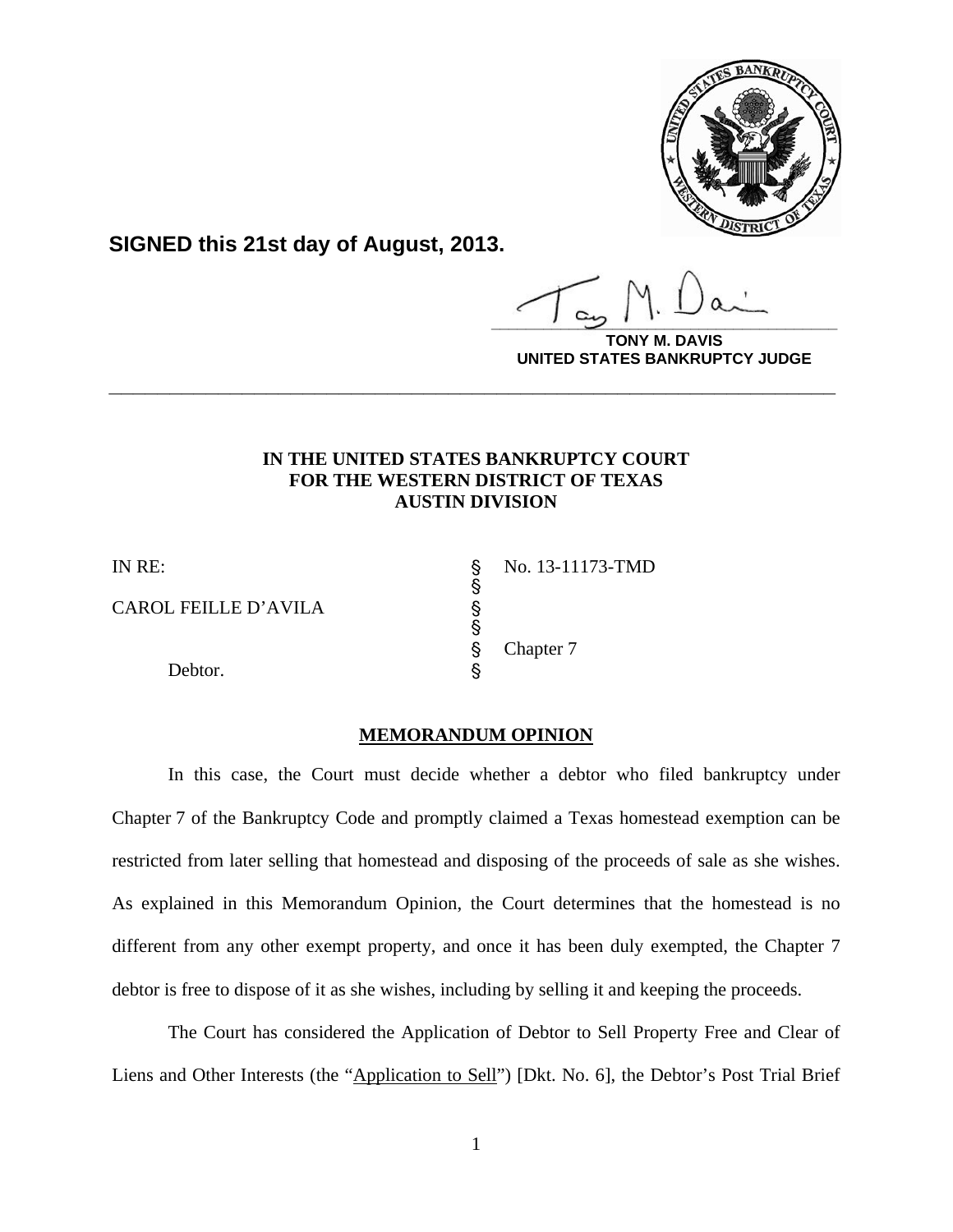

**SIGNED this 21st day of August, 2013.**

**\_\_\_\_\_\_\_\_\_\_\_\_\_\_\_\_\_\_\_\_\_\_\_\_\_\_\_\_\_\_\_\_\_\_\_\_\_\_\_\_**

**VIS UNITED STATES BANKRUPTCY JUDGE**

## **IN THE UNITED STATES BANKRUPTCY COURT FOR THE WESTERN DISTRICT OF TEXAS AUSTIN DIVISION**

**\_\_\_\_\_\_\_\_\_\_\_\_\_\_\_\_\_\_\_\_\_\_\_\_\_\_\_\_\_\_\_\_\_\_\_\_\_\_\_\_\_\_\_\_\_\_\_\_\_\_\_\_\_\_\_\_\_\_\_\_**

§

§

CAROL FEILLE D'AVILA

Debtor.

IN RE: S No. 13-11173-TMD Chapter 7

## **MEMORANDUM OPINION**

 In this case, the Court must decide whether a debtor who filed bankruptcy under Chapter 7 of the Bankruptcy Code and promptly claimed a Texas homestead exemption can be restricted from later selling that homestead and disposing of the proceeds of sale as she wishes. As explained in this Memorandum Opinion, the Court determines that the homestead is no different from any other exempt property, and once it has been duly exempted, the Chapter 7 debtor is free to dispose of it as she wishes, including by selling it and keeping the proceeds.

 The Court has considered the Application of Debtor to Sell Property Free and Clear of Liens and Other Interests (the "Application to Sell") [Dkt. No. 6], the Debtor's Post Trial Brief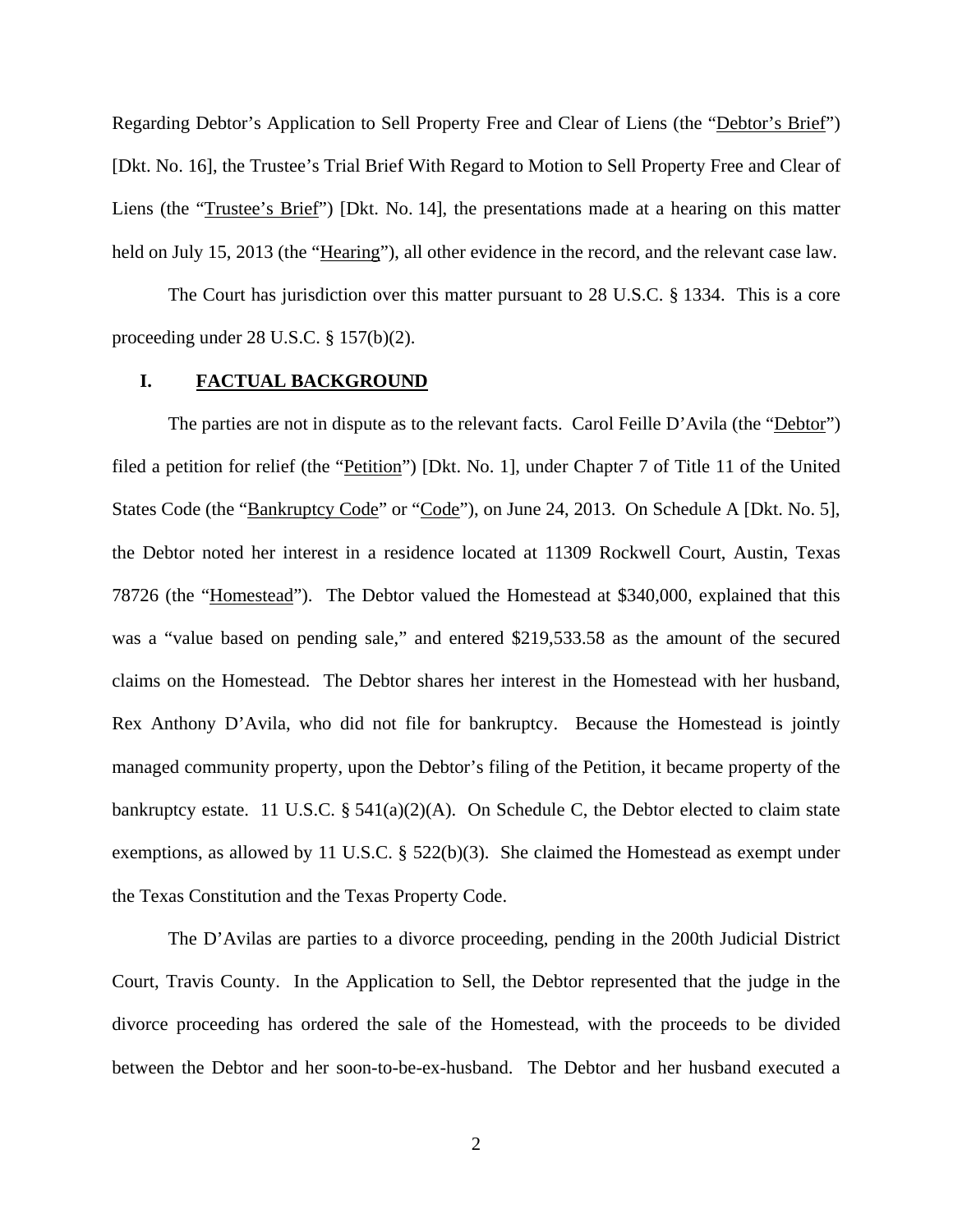Regarding Debtor's Application to Sell Property Free and Clear of Liens (the "Debtor's Brief") [Dkt. No. 16], the Trustee's Trial Brief With Regard to Motion to Sell Property Free and Clear of Liens (the "Trustee's Brief") [Dkt. No. 14], the presentations made at a hearing on this matter held on July 15, 2013 (the "Hearing"), all other evidence in the record, and the relevant case law.

 The Court has jurisdiction over this matter pursuant to 28 U.S.C. § 1334. This is a core proceeding under 28 U.S.C. § 157(b)(2).

### **I. FACTUAL BACKGROUND**

The parties are not in dispute as to the relevant facts. Carol Feille D'Avila (the "Debtor") filed a petition for relief (the "Petition") [Dkt. No. 1], under Chapter 7 of Title 11 of the United States Code (the "Bankruptcy Code" or "Code"), on June 24, 2013. On Schedule A [Dkt. No. 5], the Debtor noted her interest in a residence located at 11309 Rockwell Court, Austin, Texas 78726 (the "Homestead"). The Debtor valued the Homestead at \$340,000, explained that this was a "value based on pending sale," and entered \$219,533.58 as the amount of the secured claims on the Homestead. The Debtor shares her interest in the Homestead with her husband, Rex Anthony D'Avila, who did not file for bankruptcy. Because the Homestead is jointly managed community property, upon the Debtor's filing of the Petition, it became property of the bankruptcy estate. 11 U.S.C.  $\S 541(a)(2)(A)$ . On Schedule C, the Debtor elected to claim state exemptions, as allowed by 11 U.S.C. § 522(b)(3). She claimed the Homestead as exempt under the Texas Constitution and the Texas Property Code.

The D'Avilas are parties to a divorce proceeding, pending in the 200th Judicial District Court, Travis County. In the Application to Sell, the Debtor represented that the judge in the divorce proceeding has ordered the sale of the Homestead, with the proceeds to be divided between the Debtor and her soon-to-be-ex-husband. The Debtor and her husband executed a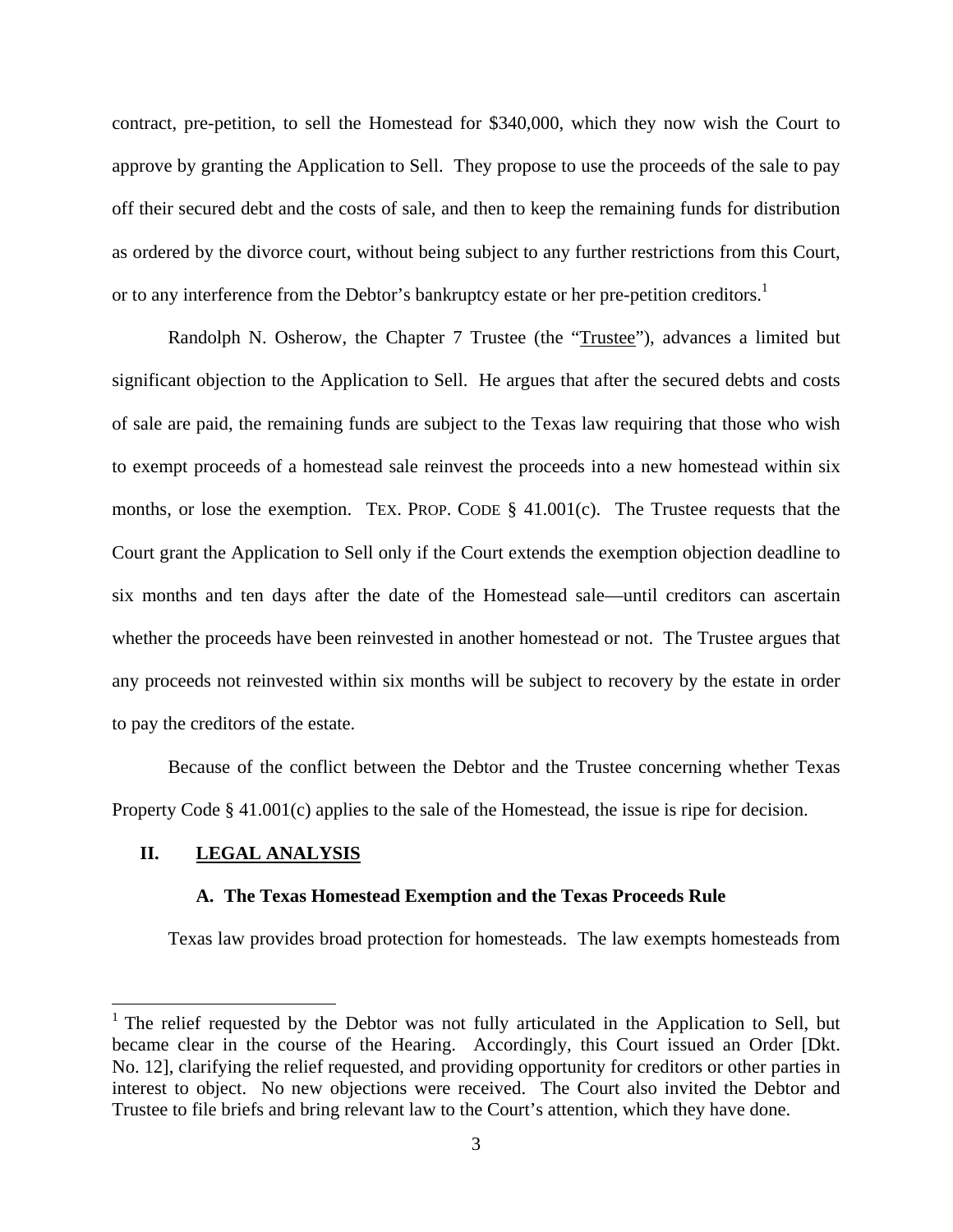contract, pre-petition, to sell the Homestead for \$340,000, which they now wish the Court to approve by granting the Application to Sell. They propose to use the proceeds of the sale to pay off their secured debt and the costs of sale, and then to keep the remaining funds for distribution as ordered by the divorce court, without being subject to any further restrictions from this Court, or to any interference from the Debtor's bankruptcy estate or her pre-petition creditors.<sup>1</sup>

Randolph N. Osherow, the Chapter 7 Trustee (the "Trustee"), advances a limited but significant objection to the Application to Sell. He argues that after the secured debts and costs of sale are paid, the remaining funds are subject to the Texas law requiring that those who wish to exempt proceeds of a homestead sale reinvest the proceeds into a new homestead within six months, or lose the exemption. TEX. PROP. CODE  $\S$  41.001(c). The Trustee requests that the Court grant the Application to Sell only if the Court extends the exemption objection deadline to six months and ten days after the date of the Homestead sale—until creditors can ascertain whether the proceeds have been reinvested in another homestead or not. The Trustee argues that any proceeds not reinvested within six months will be subject to recovery by the estate in order to pay the creditors of the estate.

Because of the conflict between the Debtor and the Trustee concerning whether Texas Property Code § 41.001(c) applies to the sale of the Homestead, the issue is ripe for decision.

## **II. LEGAL ANALYSIS**

 $\overline{a}$ 

#### **A. The Texas Homestead Exemption and the Texas Proceeds Rule**

Texas law provides broad protection for homesteads. The law exempts homesteads from

<sup>&</sup>lt;sup>1</sup> The relief requested by the Debtor was not fully articulated in the Application to Sell, but became clear in the course of the Hearing. Accordingly, this Court issued an Order [Dkt. No. 12], clarifying the relief requested, and providing opportunity for creditors or other parties in interest to object. No new objections were received. The Court also invited the Debtor and Trustee to file briefs and bring relevant law to the Court's attention, which they have done.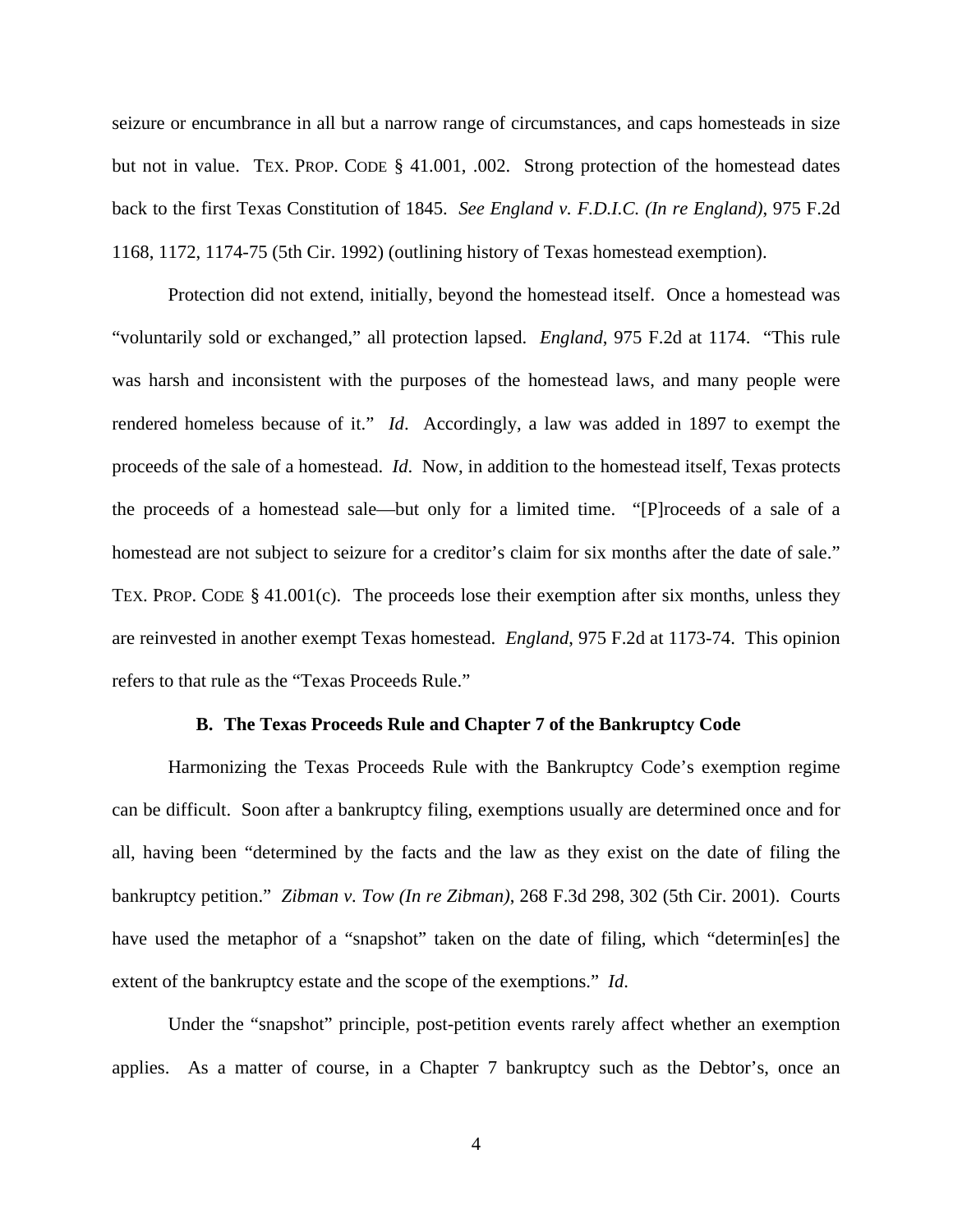seizure or encumbrance in all but a narrow range of circumstances, and caps homesteads in size but not in value. TEX. PROP. CODE § 41.001, .002. Strong protection of the homestead dates back to the first Texas Constitution of 1845. *See England v. F.D.I.C. (In re England)*, 975 F.2d 1168, 1172, 1174-75 (5th Cir. 1992) (outlining history of Texas homestead exemption).

Protection did not extend, initially, beyond the homestead itself. Once a homestead was "voluntarily sold or exchanged," all protection lapsed. *England*, 975 F.2d at 1174. "This rule was harsh and inconsistent with the purposes of the homestead laws, and many people were rendered homeless because of it." *Id*. Accordingly, a law was added in 1897 to exempt the proceeds of the sale of a homestead. *Id*. Now, in addition to the homestead itself, Texas protects the proceeds of a homestead sale—but only for a limited time. "[P]roceeds of a sale of a homestead are not subject to seizure for a creditor's claim for six months after the date of sale." TEX. PROP. CODE § 41.001(c). The proceeds lose their exemption after six months, unless they are reinvested in another exempt Texas homestead. *England*, 975 F.2d at 1173-74. This opinion refers to that rule as the "Texas Proceeds Rule."

### **B. The Texas Proceeds Rule and Chapter 7 of the Bankruptcy Code**

Harmonizing the Texas Proceeds Rule with the Bankruptcy Code's exemption regime can be difficult. Soon after a bankruptcy filing, exemptions usually are determined once and for all, having been "determined by the facts and the law as they exist on the date of filing the bankruptcy petition." *Zibman v. Tow (In re Zibman)*, 268 F.3d 298, 302 (5th Cir. 2001). Courts have used the metaphor of a "snapshot" taken on the date of filing, which "determines" the extent of the bankruptcy estate and the scope of the exemptions." *Id*.

Under the "snapshot" principle, post-petition events rarely affect whether an exemption applies. As a matter of course, in a Chapter 7 bankruptcy such as the Debtor's, once an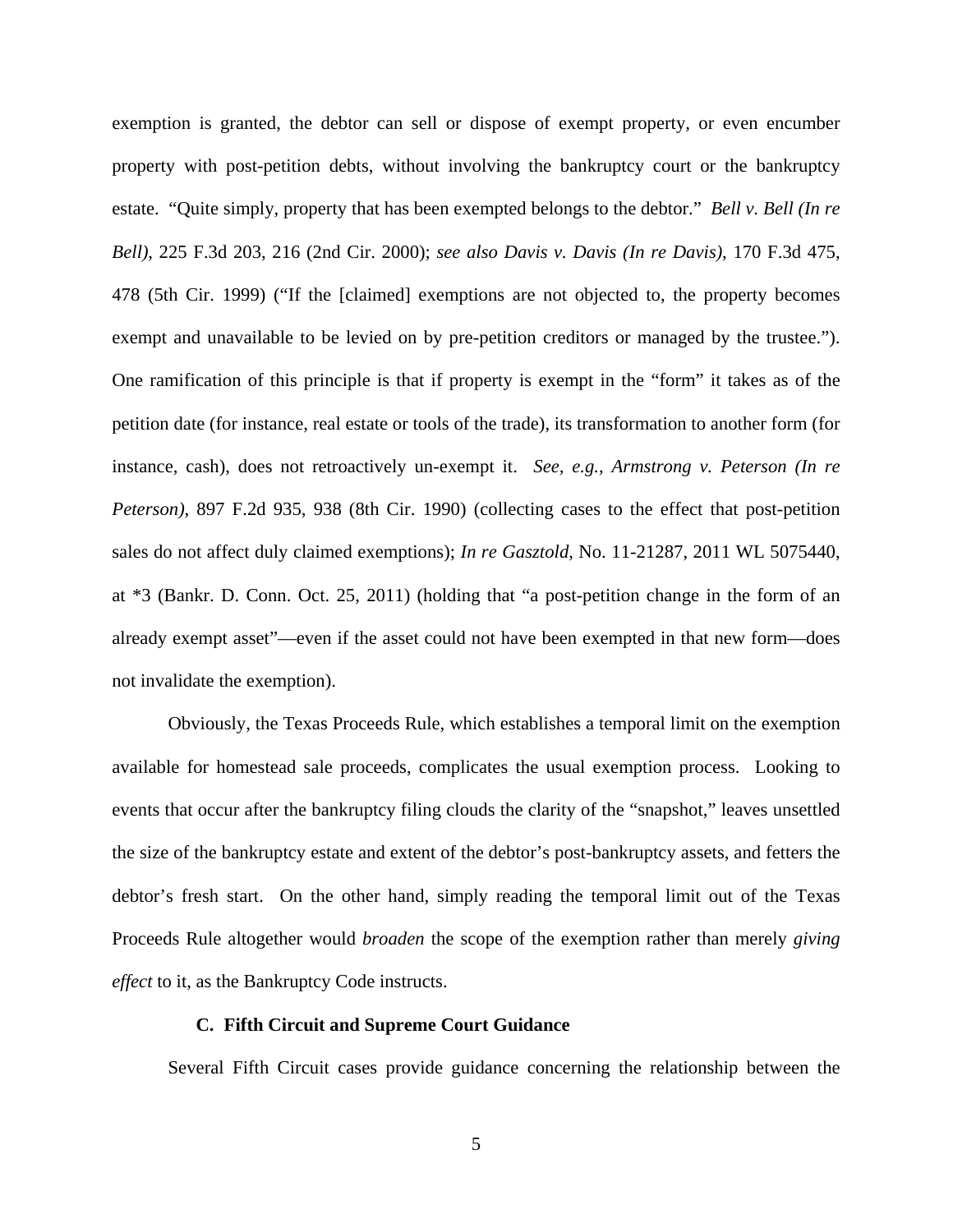exemption is granted, the debtor can sell or dispose of exempt property, or even encumber property with post-petition debts, without involving the bankruptcy court or the bankruptcy estate. "Quite simply, property that has been exempted belongs to the debtor." *Bell v. Bell (In re Bell)*, 225 F.3d 203, 216 (2nd Cir. 2000); *see also Davis v. Davis (In re Davis)*, 170 F.3d 475, 478 (5th Cir. 1999) ("If the [claimed] exemptions are not objected to, the property becomes exempt and unavailable to be levied on by pre-petition creditors or managed by the trustee."). One ramification of this principle is that if property is exempt in the "form" it takes as of the petition date (for instance, real estate or tools of the trade), its transformation to another form (for instance, cash), does not retroactively un-exempt it. *See, e.g.*, *Armstrong v. Peterson (In re Peterson)*, 897 F.2d 935, 938 (8th Cir. 1990) (collecting cases to the effect that post-petition sales do not affect duly claimed exemptions); *In re Gasztold*, No. 11-21287, 2011 WL 5075440, at \*3 (Bankr. D. Conn. Oct. 25, 2011) (holding that "a post-petition change in the form of an already exempt asset"—even if the asset could not have been exempted in that new form—does not invalidate the exemption).

Obviously, the Texas Proceeds Rule, which establishes a temporal limit on the exemption available for homestead sale proceeds, complicates the usual exemption process. Looking to events that occur after the bankruptcy filing clouds the clarity of the "snapshot," leaves unsettled the size of the bankruptcy estate and extent of the debtor's post-bankruptcy assets, and fetters the debtor's fresh start. On the other hand, simply reading the temporal limit out of the Texas Proceeds Rule altogether would *broaden* the scope of the exemption rather than merely *giving effect* to it, as the Bankruptcy Code instructs.

#### **C. Fifth Circuit and Supreme Court Guidance**

Several Fifth Circuit cases provide guidance concerning the relationship between the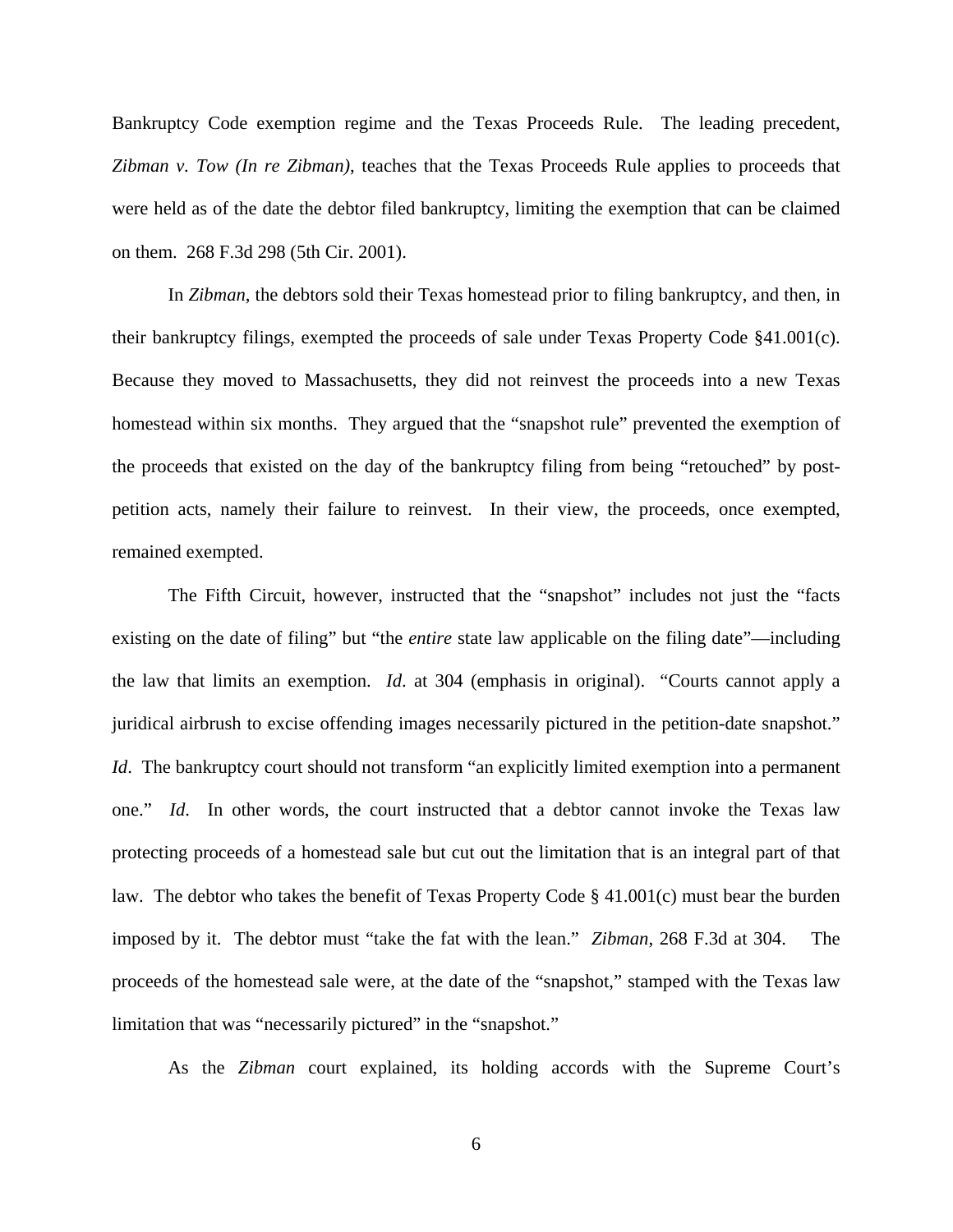Bankruptcy Code exemption regime and the Texas Proceeds Rule. The leading precedent, *Zibman v. Tow (In re Zibman)*, teaches that the Texas Proceeds Rule applies to proceeds that were held as of the date the debtor filed bankruptcy, limiting the exemption that can be claimed on them. 268 F.3d 298 (5th Cir. 2001).

In *Zibman*, the debtors sold their Texas homestead prior to filing bankruptcy, and then, in their bankruptcy filings, exempted the proceeds of sale under Texas Property Code §41.001(c). Because they moved to Massachusetts, they did not reinvest the proceeds into a new Texas homestead within six months. They argued that the "snapshot rule" prevented the exemption of the proceeds that existed on the day of the bankruptcy filing from being "retouched" by postpetition acts, namely their failure to reinvest. In their view, the proceeds, once exempted, remained exempted.

The Fifth Circuit, however, instructed that the "snapshot" includes not just the "facts existing on the date of filing" but "the *entire* state law applicable on the filing date"—including the law that limits an exemption. *Id*. at 304 (emphasis in original). "Courts cannot apply a juridical airbrush to excise offending images necessarily pictured in the petition-date snapshot." *Id*. The bankruptcy court should not transform "an explicitly limited exemption into a permanent one." *Id*. In other words, the court instructed that a debtor cannot invoke the Texas law protecting proceeds of a homestead sale but cut out the limitation that is an integral part of that law. The debtor who takes the benefit of Texas Property Code  $\S$  41.001(c) must bear the burden imposed by it. The debtor must "take the fat with the lean." *Zibman*, 268 F.3d at 304. The proceeds of the homestead sale were, at the date of the "snapshot," stamped with the Texas law limitation that was "necessarily pictured" in the "snapshot."

As the *Zibman* court explained, its holding accords with the Supreme Court's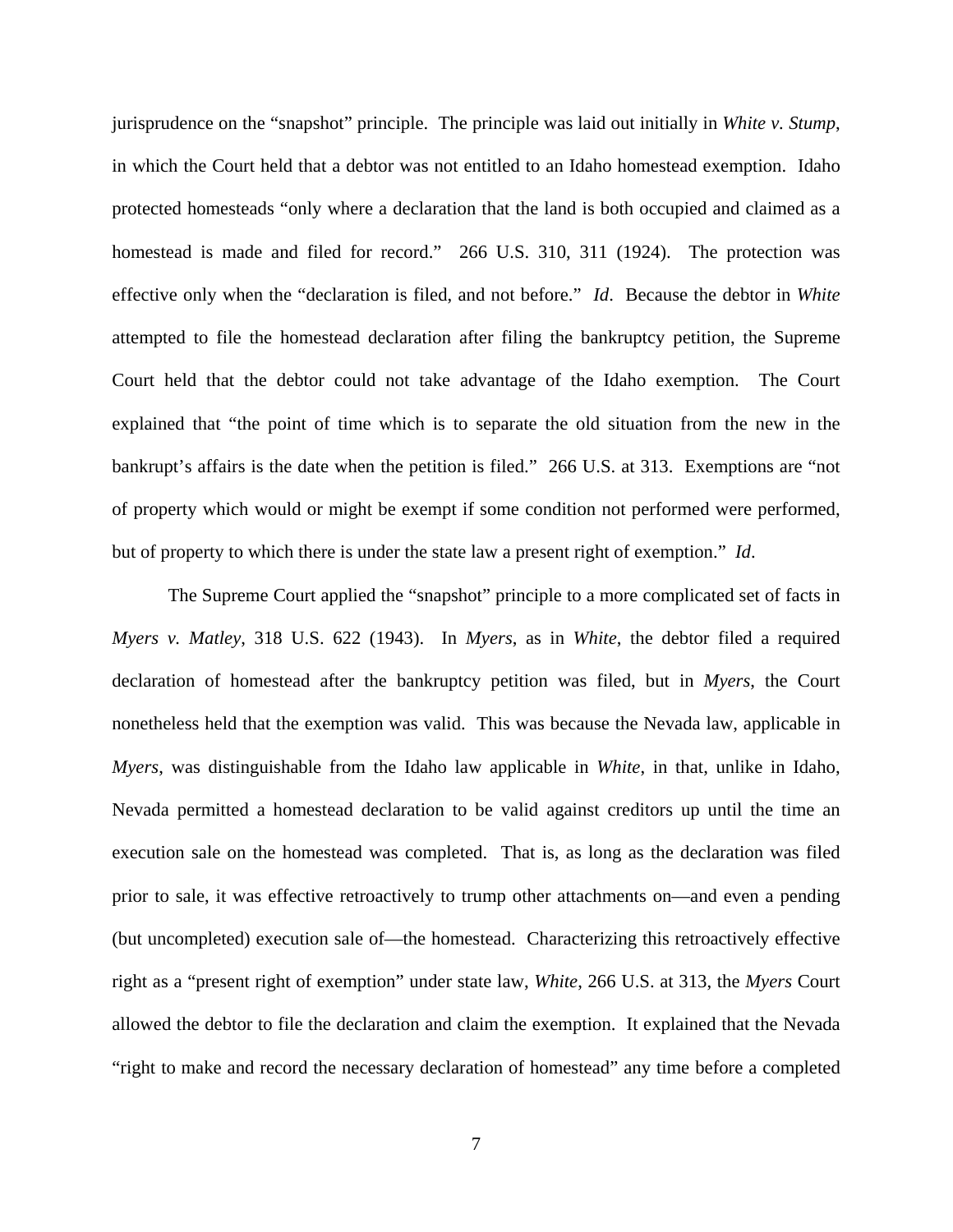jurisprudence on the "snapshot" principle. The principle was laid out initially in *White v. Stump*, in which the Court held that a debtor was not entitled to an Idaho homestead exemption. Idaho protected homesteads "only where a declaration that the land is both occupied and claimed as a homestead is made and filed for record." 266 U.S. 310, 311 (1924). The protection was effective only when the "declaration is filed, and not before." *Id*. Because the debtor in *White* attempted to file the homestead declaration after filing the bankruptcy petition, the Supreme Court held that the debtor could not take advantage of the Idaho exemption. The Court explained that "the point of time which is to separate the old situation from the new in the bankrupt's affairs is the date when the petition is filed." 266 U.S. at 313. Exemptions are "not of property which would or might be exempt if some condition not performed were performed, but of property to which there is under the state law a present right of exemption." *Id*.

The Supreme Court applied the "snapshot" principle to a more complicated set of facts in *Myers v. Matley*, 318 U.S. 622 (1943). In *Myers*, as in *White*, the debtor filed a required declaration of homestead after the bankruptcy petition was filed, but in *Myers*, the Court nonetheless held that the exemption was valid. This was because the Nevada law, applicable in *Myers*, was distinguishable from the Idaho law applicable in *White*, in that, unlike in Idaho, Nevada permitted a homestead declaration to be valid against creditors up until the time an execution sale on the homestead was completed. That is, as long as the declaration was filed prior to sale, it was effective retroactively to trump other attachments on—and even a pending (but uncompleted) execution sale of—the homestead. Characterizing this retroactively effective right as a "present right of exemption" under state law, *White*, 266 U.S. at 313, the *Myers* Court allowed the debtor to file the declaration and claim the exemption. It explained that the Nevada "right to make and record the necessary declaration of homestead" any time before a completed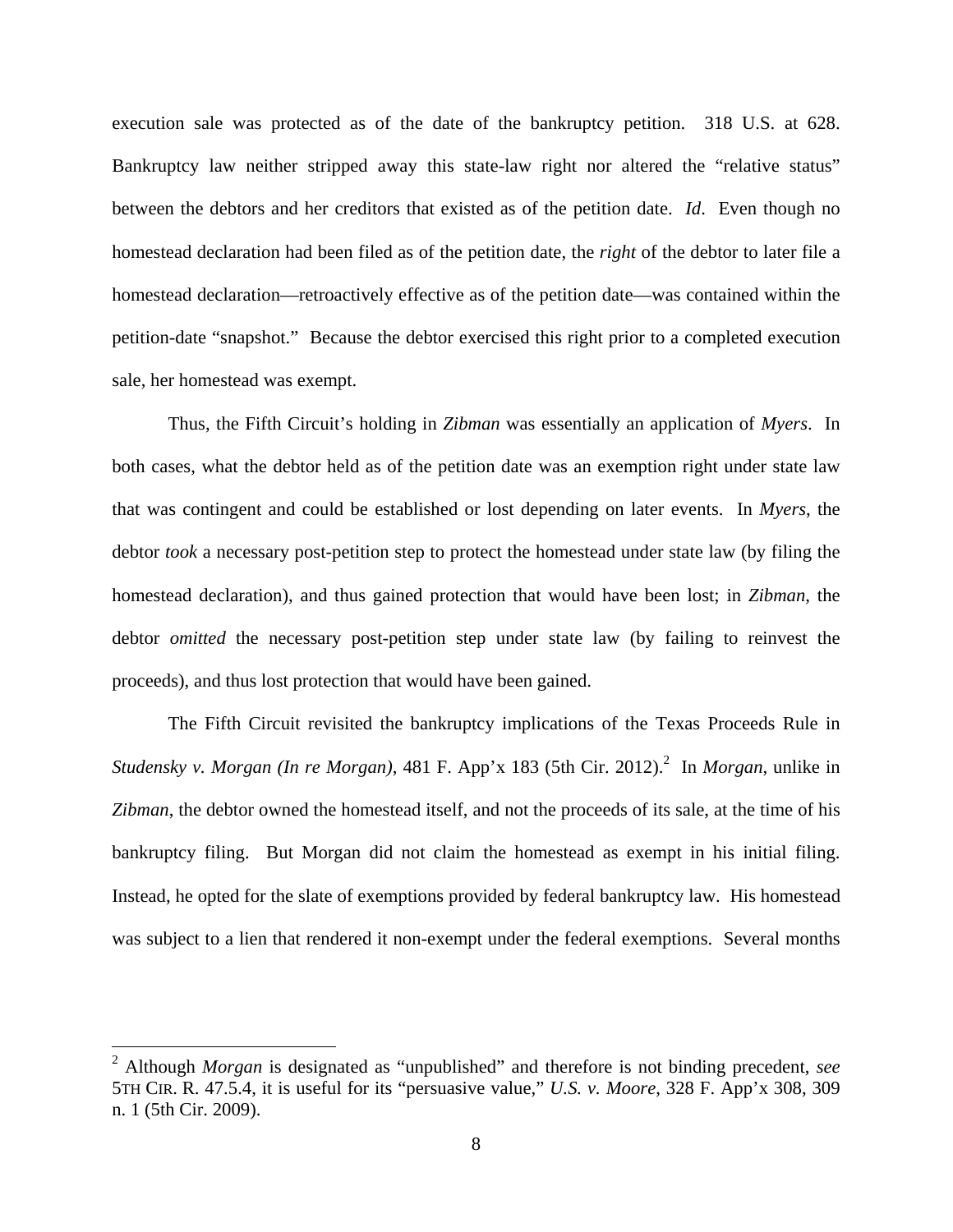execution sale was protected as of the date of the bankruptcy petition. 318 U.S. at 628. Bankruptcy law neither stripped away this state-law right nor altered the "relative status" between the debtors and her creditors that existed as of the petition date. *Id*. Even though no homestead declaration had been filed as of the petition date, the *right* of the debtor to later file a homestead declaration—retroactively effective as of the petition date—was contained within the petition-date "snapshot." Because the debtor exercised this right prior to a completed execution sale, her homestead was exempt.

Thus, the Fifth Circuit's holding in *Zibman* was essentially an application of *Myers*. In both cases, what the debtor held as of the petition date was an exemption right under state law that was contingent and could be established or lost depending on later events. In *Myers*, the debtor *took* a necessary post-petition step to protect the homestead under state law (by filing the homestead declaration), and thus gained protection that would have been lost; in *Zibman*, the debtor *omitted* the necessary post-petition step under state law (by failing to reinvest the proceeds), and thus lost protection that would have been gained.

The Fifth Circuit revisited the bankruptcy implications of the Texas Proceeds Rule in *Studensky v. Morgan (In re Morgan)*, 481 F. App'x 183 (5th Cir. 2012).<sup>2</sup> In *Morgan*, unlike in *Zibman*, the debtor owned the homestead itself, and not the proceeds of its sale, at the time of his bankruptcy filing. But Morgan did not claim the homestead as exempt in his initial filing. Instead, he opted for the slate of exemptions provided by federal bankruptcy law. His homestead was subject to a lien that rendered it non-exempt under the federal exemptions. Several months

1

<sup>2</sup> Although *Morgan* is designated as "unpublished" and therefore is not binding precedent, *see* 5TH CIR. R. 47.5.4, it is useful for its "persuasive value," *U.S. v. Moore*, 328 F. App'x 308, 309 n. 1 (5th Cir. 2009).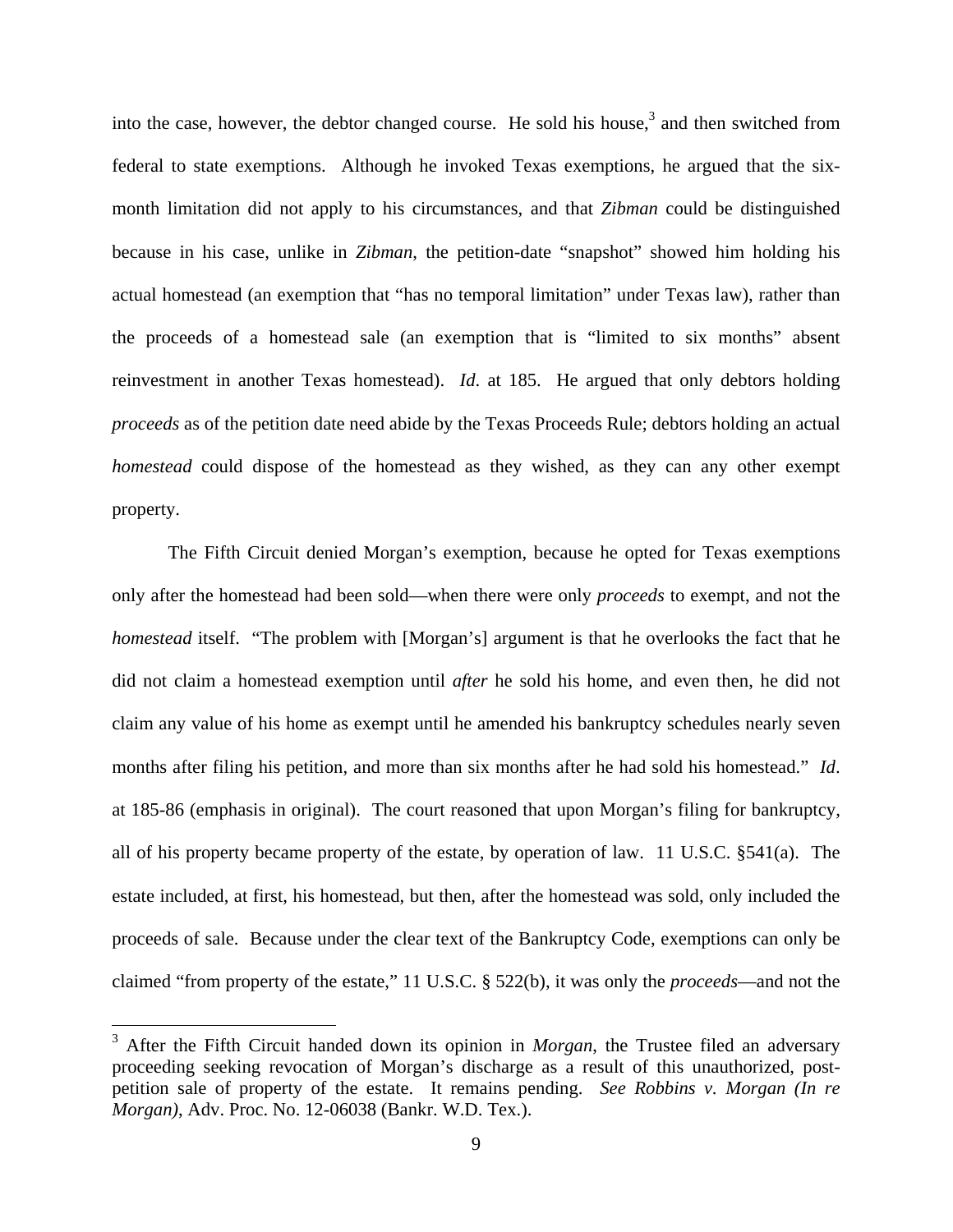into the case, however, the debtor changed course. He sold his house, $3$  and then switched from federal to state exemptions. Although he invoked Texas exemptions, he argued that the sixmonth limitation did not apply to his circumstances, and that *Zibman* could be distinguished because in his case, unlike in *Zibman*, the petition-date "snapshot" showed him holding his actual homestead (an exemption that "has no temporal limitation" under Texas law), rather than the proceeds of a homestead sale (an exemption that is "limited to six months" absent reinvestment in another Texas homestead). *Id*. at 185. He argued that only debtors holding *proceeds* as of the petition date need abide by the Texas Proceeds Rule; debtors holding an actual *homestead* could dispose of the homestead as they wished, as they can any other exempt property.

The Fifth Circuit denied Morgan's exemption, because he opted for Texas exemptions only after the homestead had been sold—when there were only *proceeds* to exempt, and not the *homestead* itself. "The problem with [Morgan's] argument is that he overlooks the fact that he did not claim a homestead exemption until *after* he sold his home, and even then, he did not claim any value of his home as exempt until he amended his bankruptcy schedules nearly seven months after filing his petition, and more than six months after he had sold his homestead." *Id*. at 185-86 (emphasis in original). The court reasoned that upon Morgan's filing for bankruptcy, all of his property became property of the estate, by operation of law. 11 U.S.C. §541(a). The estate included, at first, his homestead, but then, after the homestead was sold, only included the proceeds of sale. Because under the clear text of the Bankruptcy Code, exemptions can only be claimed "from property of the estate," 11 U.S.C. § 522(b), it was only the *proceeds*—and not the

 $\overline{a}$ 

<sup>&</sup>lt;sup>3</sup> After the Fifth Circuit handed down its opinion in *Morgan*, the Trustee filed an adversary proceeding seeking revocation of Morgan's discharge as a result of this unauthorized, postpetition sale of property of the estate. It remains pending. *See Robbins v. Morgan (In re Morgan)*, Adv. Proc. No. 12-06038 (Bankr. W.D. Tex.).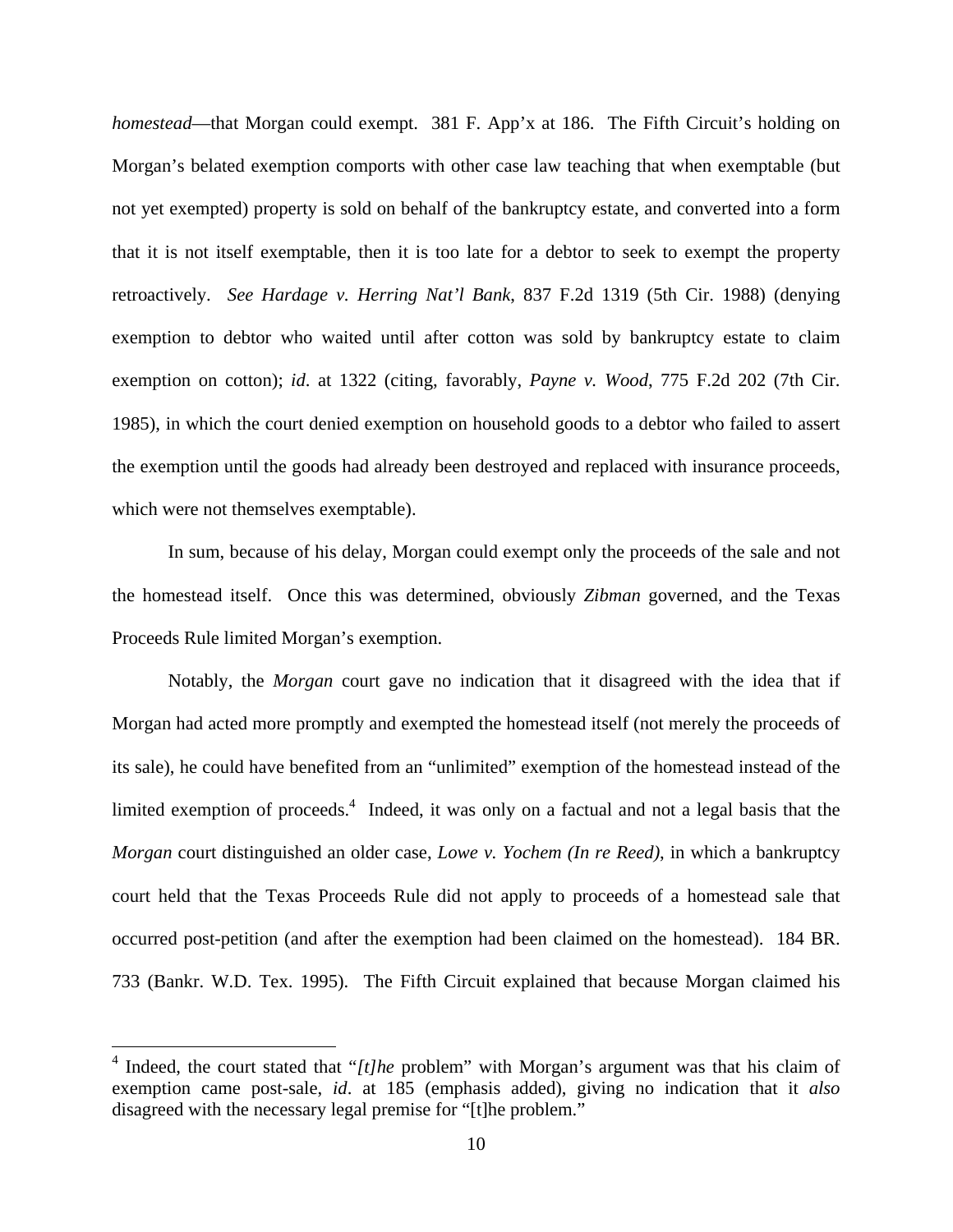*homestead*—that Morgan could exempt. 381 F. App'x at 186. The Fifth Circuit's holding on Morgan's belated exemption comports with other case law teaching that when exemptable (but not yet exempted) property is sold on behalf of the bankruptcy estate, and converted into a form that it is not itself exemptable, then it is too late for a debtor to seek to exempt the property retroactively. *See Hardage v. Herring Nat'l Bank*, 837 F.2d 1319 (5th Cir. 1988) (denying exemption to debtor who waited until after cotton was sold by bankruptcy estate to claim exemption on cotton); *id*. at 1322 (citing, favorably, *Payne v. Wood*, 775 F.2d 202 (7th Cir. 1985), in which the court denied exemption on household goods to a debtor who failed to assert the exemption until the goods had already been destroyed and replaced with insurance proceeds, which were not themselves exemptable).

In sum, because of his delay, Morgan could exempt only the proceeds of the sale and not the homestead itself. Once this was determined, obviously *Zibman* governed, and the Texas Proceeds Rule limited Morgan's exemption.

Notably, the *Morgan* court gave no indication that it disagreed with the idea that if Morgan had acted more promptly and exempted the homestead itself (not merely the proceeds of its sale), he could have benefited from an "unlimited" exemption of the homestead instead of the limited exemption of proceeds.<sup>4</sup> Indeed, it was only on a factual and not a legal basis that the *Morgan* court distinguished an older case, *Lowe v. Yochem (In re Reed)*, in which a bankruptcy court held that the Texas Proceeds Rule did not apply to proceeds of a homestead sale that occurred post-petition (and after the exemption had been claimed on the homestead). 184 BR. 733 (Bankr. W.D. Tex. 1995). The Fifth Circuit explained that because Morgan claimed his

1

<sup>&</sup>lt;sup>4</sup> Indeed, the court stated that "[t]he problem" with Morgan's argument was that his claim of exemption came post-sale, *id*. at 185 (emphasis added), giving no indication that it *also* disagreed with the necessary legal premise for "[t]he problem."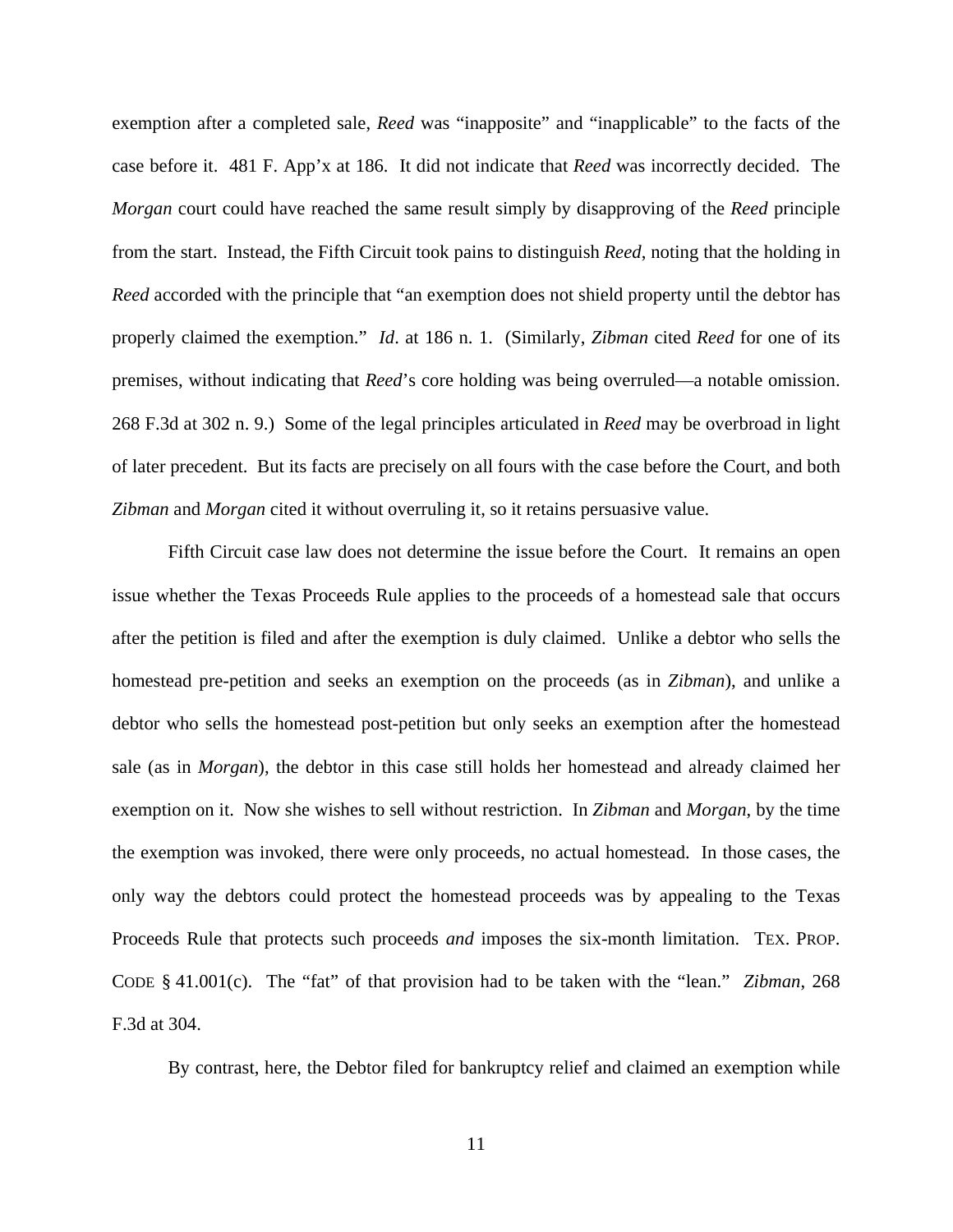exemption after a completed sale, *Reed* was "inapposite" and "inapplicable" to the facts of the case before it. 481 F. App'x at 186. It did not indicate that *Reed* was incorrectly decided. The *Morgan* court could have reached the same result simply by disapproving of the *Reed* principle from the start. Instead, the Fifth Circuit took pains to distinguish *Reed*, noting that the holding in *Reed* accorded with the principle that "an exemption does not shield property until the debtor has properly claimed the exemption." *Id*. at 186 n. 1. (Similarly, *Zibman* cited *Reed* for one of its premises, without indicating that *Reed*'s core holding was being overruled—a notable omission. 268 F.3d at 302 n. 9.) Some of the legal principles articulated in *Reed* may be overbroad in light of later precedent. But its facts are precisely on all fours with the case before the Court, and both *Zibman* and *Morgan* cited it without overruling it, so it retains persuasive value.

Fifth Circuit case law does not determine the issue before the Court. It remains an open issue whether the Texas Proceeds Rule applies to the proceeds of a homestead sale that occurs after the petition is filed and after the exemption is duly claimed. Unlike a debtor who sells the homestead pre-petition and seeks an exemption on the proceeds (as in *Zibman*), and unlike a debtor who sells the homestead post-petition but only seeks an exemption after the homestead sale (as in *Morgan*), the debtor in this case still holds her homestead and already claimed her exemption on it. Now she wishes to sell without restriction. In *Zibman* and *Morgan*, by the time the exemption was invoked, there were only proceeds, no actual homestead. In those cases, the only way the debtors could protect the homestead proceeds was by appealing to the Texas Proceeds Rule that protects such proceeds *and* imposes the six-month limitation. TEX. PROP. CODE § 41.001(c). The "fat" of that provision had to be taken with the "lean." *Zibman*, 268 F.3d at 304.

By contrast, here, the Debtor filed for bankruptcy relief and claimed an exemption while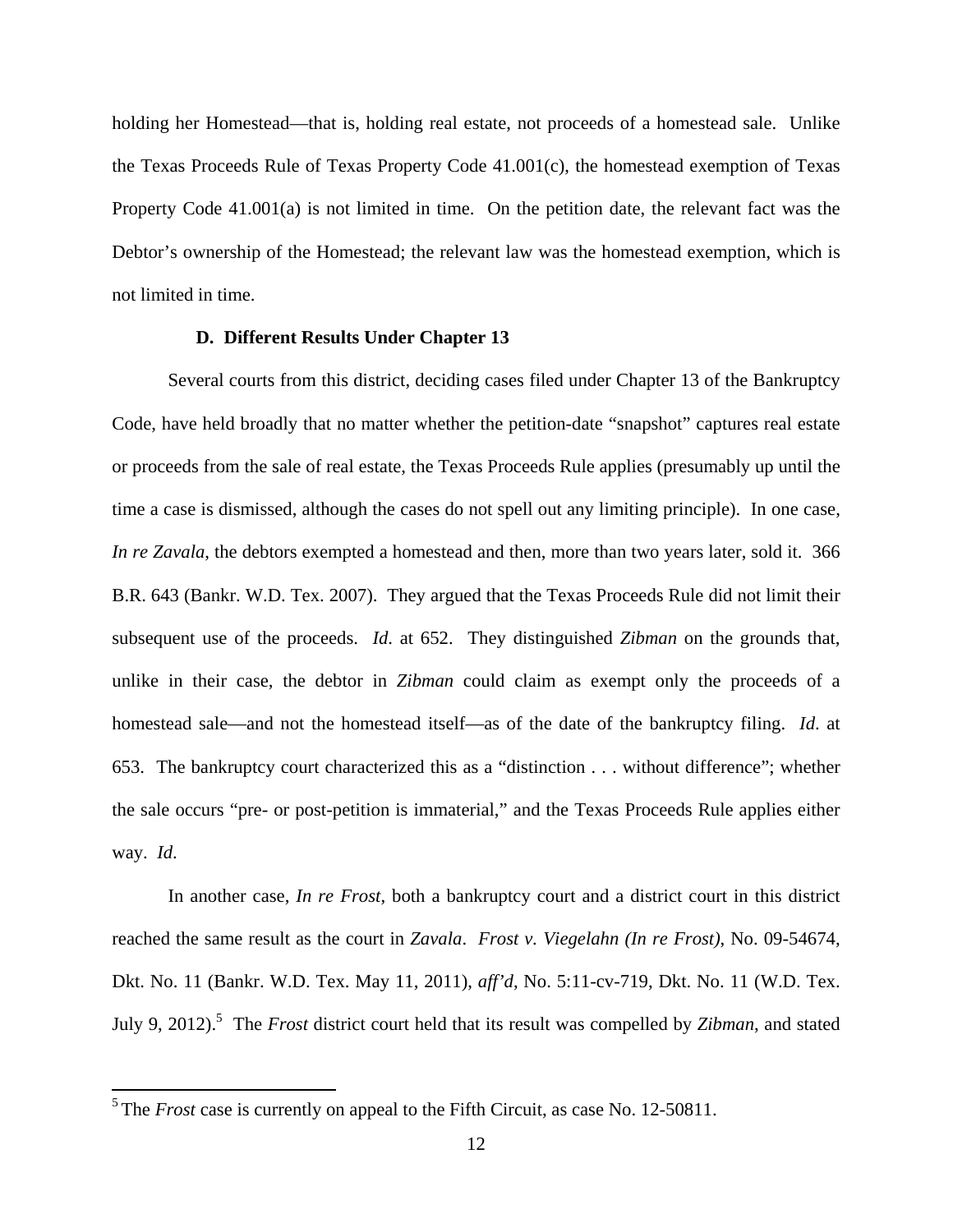holding her Homestead—that is, holding real estate, not proceeds of a homestead sale. Unlike the Texas Proceeds Rule of Texas Property Code 41.001(c), the homestead exemption of Texas Property Code 41.001(a) is not limited in time. On the petition date, the relevant fact was the Debtor's ownership of the Homestead; the relevant law was the homestead exemption, which is not limited in time.

## **D. Different Results Under Chapter 13**

 Several courts from this district, deciding cases filed under Chapter 13 of the Bankruptcy Code, have held broadly that no matter whether the petition-date "snapshot" captures real estate or proceeds from the sale of real estate, the Texas Proceeds Rule applies (presumably up until the time a case is dismissed, although the cases do not spell out any limiting principle). In one case, *In re Zavala*, the debtors exempted a homestead and then, more than two years later, sold it. 366 B.R. 643 (Bankr. W.D. Tex. 2007). They argued that the Texas Proceeds Rule did not limit their subsequent use of the proceeds. *Id*. at 652. They distinguished *Zibman* on the grounds that, unlike in their case, the debtor in *Zibman* could claim as exempt only the proceeds of a homestead sale—and not the homestead itself—as of the date of the bankruptcy filing. *Id*. at 653. The bankruptcy court characterized this as a "distinction . . . without difference"; whether the sale occurs "pre- or post-petition is immaterial," and the Texas Proceeds Rule applies either way. *Id*.

In another case, *In re Frost*, both a bankruptcy court and a district court in this district reached the same result as the court in *Zavala*. *Frost v. Viegelahn (In re Frost)*, No. 09-54674, Dkt. No. 11 (Bankr. W.D. Tex. May 11, 2011), *aff'd*, No. 5:11-cv-719, Dkt. No. 11 (W.D. Tex. July 9, 2012).<sup>5</sup> The *Frost* district court held that its result was compelled by *Zibman*, and stated

 $\overline{a}$ 

<sup>&</sup>lt;sup>5</sup> The *Frost* case is currently on appeal to the Fifth Circuit, as case No. 12-50811.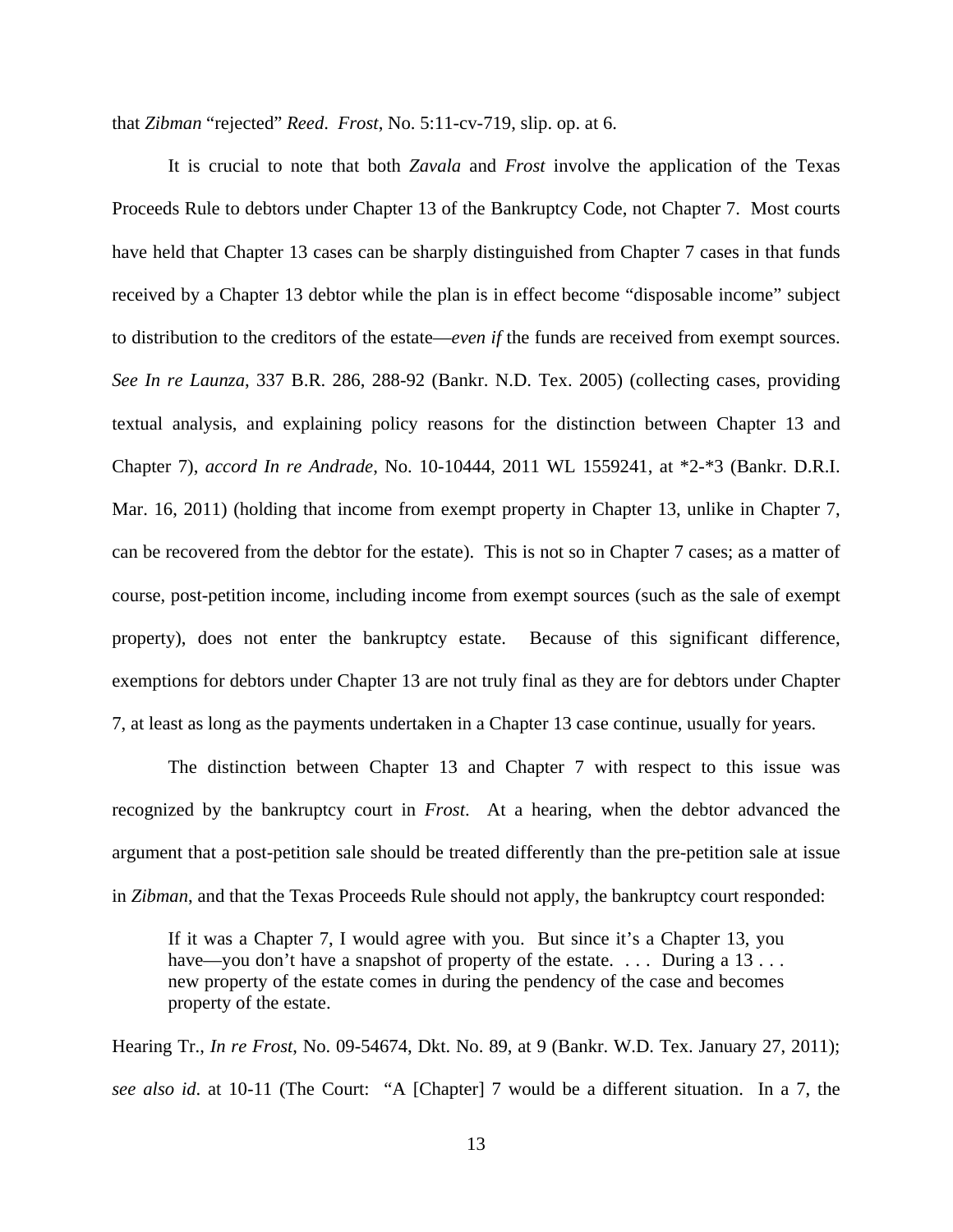that *Zibman* "rejected" *Reed*. *Frost*, No. 5:11-cv-719, slip. op. at 6.

It is crucial to note that both *Zavala* and *Frost* involve the application of the Texas Proceeds Rule to debtors under Chapter 13 of the Bankruptcy Code, not Chapter 7. Most courts have held that Chapter 13 cases can be sharply distinguished from Chapter 7 cases in that funds received by a Chapter 13 debtor while the plan is in effect become "disposable income" subject to distribution to the creditors of the estate—*even if* the funds are received from exempt sources. *See In re Launza*, 337 B.R. 286, 288-92 (Bankr. N.D. Tex. 2005) (collecting cases, providing textual analysis, and explaining policy reasons for the distinction between Chapter 13 and Chapter 7), *accord In re Andrade*, No. 10-10444, 2011 WL 1559241, at \*2-\*3 (Bankr. D.R.I. Mar. 16, 2011) (holding that income from exempt property in Chapter 13, unlike in Chapter 7, can be recovered from the debtor for the estate). This is not so in Chapter 7 cases; as a matter of course, post-petition income, including income from exempt sources (such as the sale of exempt property), does not enter the bankruptcy estate. Because of this significant difference, exemptions for debtors under Chapter 13 are not truly final as they are for debtors under Chapter 7, at least as long as the payments undertaken in a Chapter 13 case continue, usually for years.

The distinction between Chapter 13 and Chapter 7 with respect to this issue was recognized by the bankruptcy court in *Frost*. At a hearing, when the debtor advanced the argument that a post-petition sale should be treated differently than the pre-petition sale at issue in *Zibman*, and that the Texas Proceeds Rule should not apply, the bankruptcy court responded:

If it was a Chapter 7, I would agree with you. But since it's a Chapter 13, you have—you don't have a snapshot of property of the estate. ... During a 13... new property of the estate comes in during the pendency of the case and becomes property of the estate.

Hearing Tr., *In re Frost*, No. 09-54674, Dkt. No. 89, at 9 (Bankr. W.D. Tex. January 27, 2011); *see also id*. at 10-11 (The Court: "A [Chapter] 7 would be a different situation. In a 7, the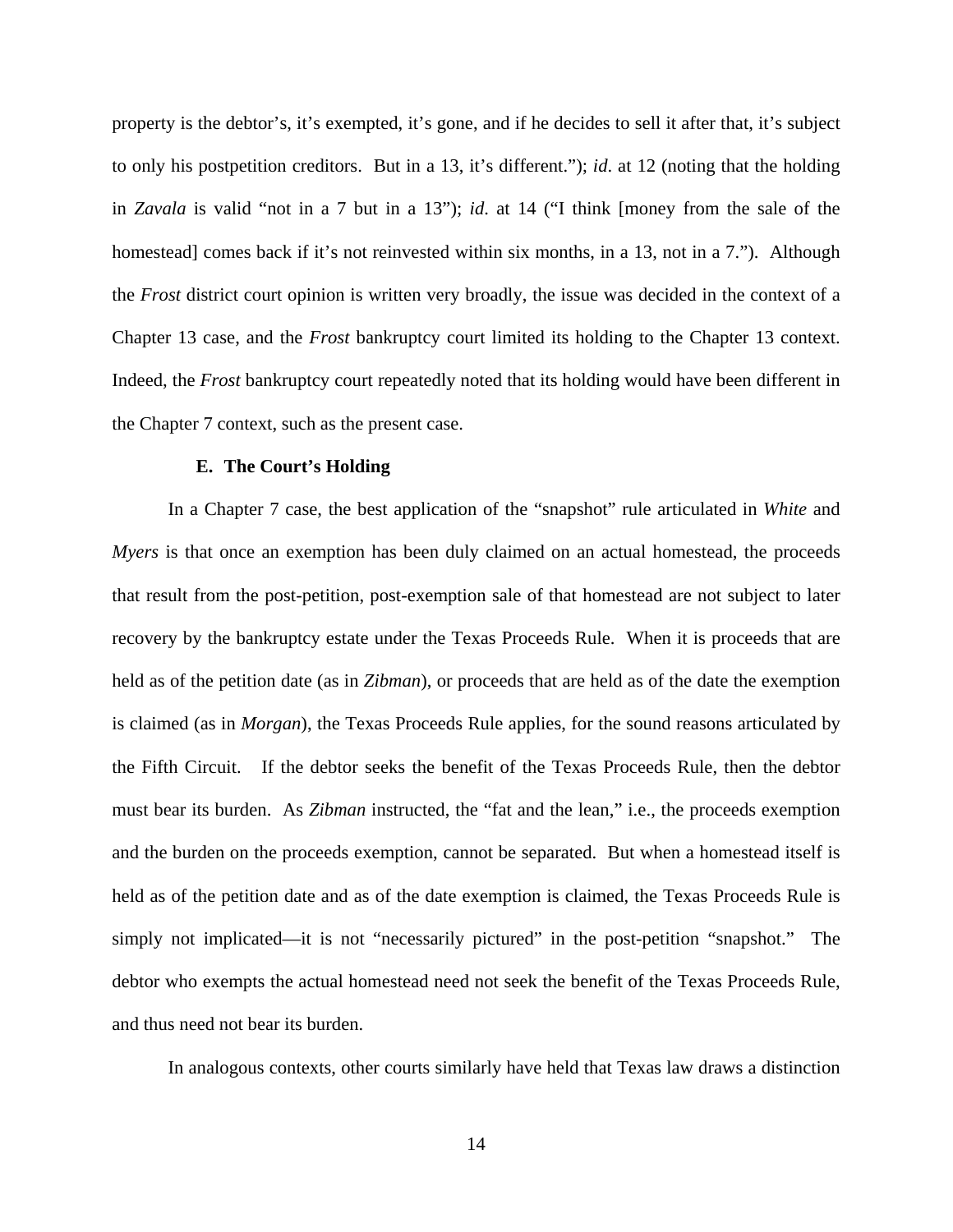property is the debtor's, it's exempted, it's gone, and if he decides to sell it after that, it's subject to only his postpetition creditors. But in a 13, it's different."); *id*. at 12 (noting that the holding in *Zavala* is valid "not in a 7 but in a 13"); *id*. at 14 ("I think [money from the sale of the homestead] comes back if it's not reinvested within six months, in a 13, not in a 7."). Although the *Frost* district court opinion is written very broadly, the issue was decided in the context of a Chapter 13 case, and the *Frost* bankruptcy court limited its holding to the Chapter 13 context. Indeed, the *Frost* bankruptcy court repeatedly noted that its holding would have been different in the Chapter 7 context, such as the present case.

#### **E. The Court's Holding**

In a Chapter 7 case, the best application of the "snapshot" rule articulated in *White* and *Myers* is that once an exemption has been duly claimed on an actual homestead, the proceeds that result from the post-petition, post-exemption sale of that homestead are not subject to later recovery by the bankruptcy estate under the Texas Proceeds Rule. When it is proceeds that are held as of the petition date (as in *Zibman*), or proceeds that are held as of the date the exemption is claimed (as in *Morgan*), the Texas Proceeds Rule applies, for the sound reasons articulated by the Fifth Circuit. If the debtor seeks the benefit of the Texas Proceeds Rule, then the debtor must bear its burden. As *Zibman* instructed, the "fat and the lean," i.e., the proceeds exemption and the burden on the proceeds exemption, cannot be separated. But when a homestead itself is held as of the petition date and as of the date exemption is claimed, the Texas Proceeds Rule is simply not implicated—it is not "necessarily pictured" in the post-petition "snapshot." The debtor who exempts the actual homestead need not seek the benefit of the Texas Proceeds Rule, and thus need not bear its burden.

In analogous contexts, other courts similarly have held that Texas law draws a distinction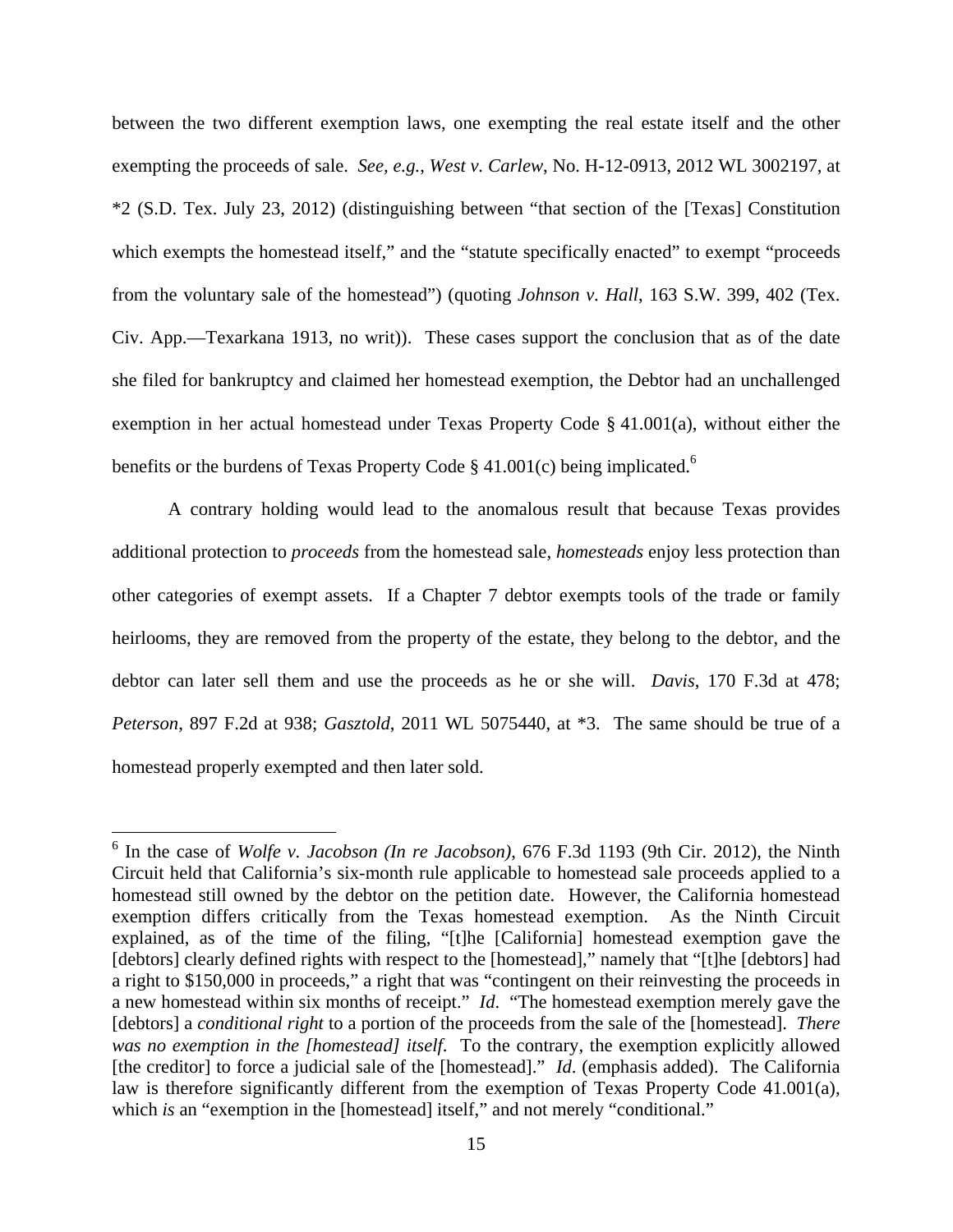between the two different exemption laws, one exempting the real estate itself and the other exempting the proceeds of sale. *See, e.g.*, *West v. Carlew*, No. H-12-0913, 2012 WL 3002197, at \*2 (S.D. Tex. July 23, 2012) (distinguishing between "that section of the [Texas] Constitution which exempts the homestead itself," and the "statute specifically enacted" to exempt "proceeds" from the voluntary sale of the homestead") (quoting *Johnson v. Hall*, 163 S.W. 399, 402 (Tex. Civ. App.—Texarkana 1913, no writ)). These cases support the conclusion that as of the date she filed for bankruptcy and claimed her homestead exemption, the Debtor had an unchallenged exemption in her actual homestead under Texas Property Code § 41.001(a), without either the benefits or the burdens of Texas Property Code  $\S$  41.001(c) being implicated.<sup>6</sup>

A contrary holding would lead to the anomalous result that because Texas provides additional protection to *proceeds* from the homestead sale, *homesteads* enjoy less protection than other categories of exempt assets. If a Chapter 7 debtor exempts tools of the trade or family heirlooms, they are removed from the property of the estate, they belong to the debtor, and the debtor can later sell them and use the proceeds as he or she will. *Davis*, 170 F.3d at 478; *Peterson*, 897 F.2d at 938; *Gasztold*, 2011 WL 5075440, at \*3. The same should be true of a homestead properly exempted and then later sold.

 $\overline{a}$ 

<sup>6</sup> In the case of *Wolfe v. Jacobson (In re Jacobson)*, 676 F.3d 1193 (9th Cir. 2012), the Ninth Circuit held that California's six-month rule applicable to homestead sale proceeds applied to a homestead still owned by the debtor on the petition date. However, the California homestead exemption differs critically from the Texas homestead exemption. As the Ninth Circuit explained, as of the time of the filing, "[t]he [California] homestead exemption gave the [debtors] clearly defined rights with respect to the [homestead]," namely that "[t]he [debtors] had a right to \$150,000 in proceeds," a right that was "contingent on their reinvesting the proceeds in a new homestead within six months of receipt." *Id*. "The homestead exemption merely gave the [debtors] a *conditional right* to a portion of the proceeds from the sale of the [homestead]. *There was no exemption in the [homestead] itself*. To the contrary, the exemption explicitly allowed [the creditor] to force a judicial sale of the [homestead]." *Id*. (emphasis added). The California law is therefore significantly different from the exemption of Texas Property Code 41.001(a), which *is* an "exemption in the [homestead] itself," and not merely "conditional."